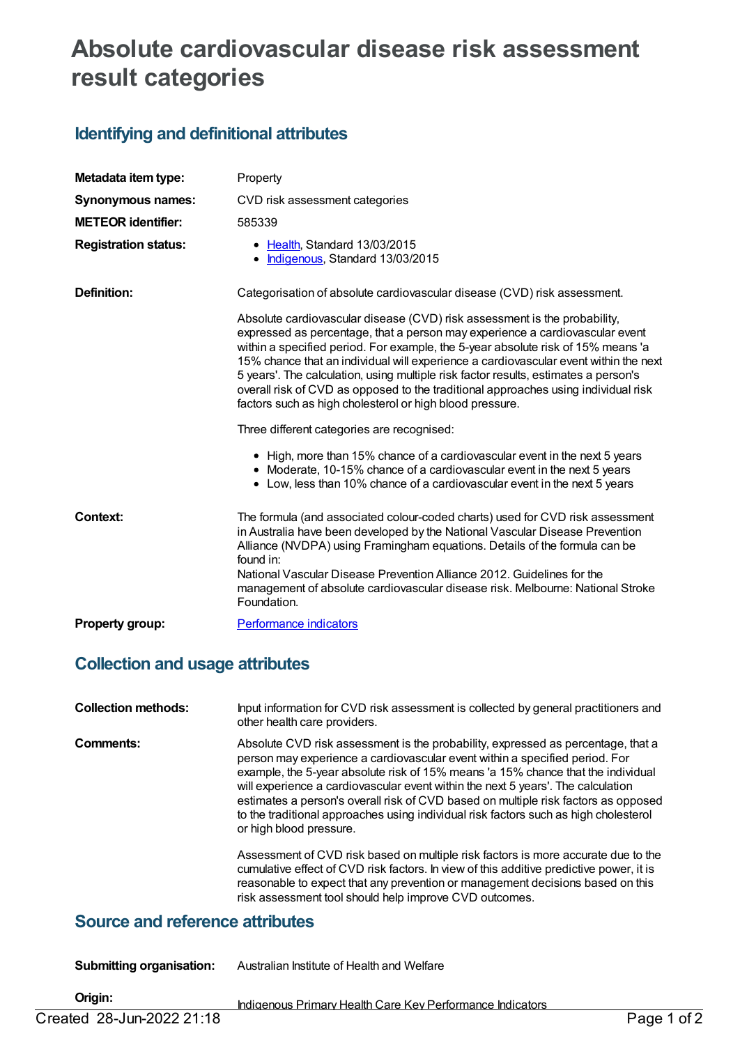# **Absolute cardiovascular disease risk assessment result categories**

# **Identifying and definitional attributes**

| Metadata item type:         | Property                                                                                                                                                                                                                                                                                                                                                                                                                                                                                                                                                                       |
|-----------------------------|--------------------------------------------------------------------------------------------------------------------------------------------------------------------------------------------------------------------------------------------------------------------------------------------------------------------------------------------------------------------------------------------------------------------------------------------------------------------------------------------------------------------------------------------------------------------------------|
| <b>Synonymous names:</b>    | CVD risk assessment categories                                                                                                                                                                                                                                                                                                                                                                                                                                                                                                                                                 |
| <b>METEOR identifier:</b>   | 585339                                                                                                                                                                                                                                                                                                                                                                                                                                                                                                                                                                         |
| <b>Registration status:</b> | • Health, Standard 13/03/2015<br>• Indigenous, Standard 13/03/2015                                                                                                                                                                                                                                                                                                                                                                                                                                                                                                             |
| Definition:                 | Categorisation of absolute cardiovascular disease (CVD) risk assessment.                                                                                                                                                                                                                                                                                                                                                                                                                                                                                                       |
|                             | Absolute cardiovascular disease (CVD) risk assessment is the probability,<br>expressed as percentage, that a person may experience a cardiovascular event<br>within a specified period. For example, the 5-year absolute risk of 15% means 'a<br>15% chance that an individual will experience a cardiovascular event within the next<br>5 years'. The calculation, using multiple risk factor results, estimates a person's<br>overall risk of CVD as opposed to the traditional approaches using individual risk<br>factors such as high cholesterol or high blood pressure. |
|                             | Three different categories are recognised:                                                                                                                                                                                                                                                                                                                                                                                                                                                                                                                                     |
|                             | • High, more than 15% chance of a cardiovascular event in the next 5 years<br>• Moderate, 10-15% chance of a cardiovascular event in the next 5 years<br>• Low, less than 10% chance of a cardiovascular event in the next 5 years                                                                                                                                                                                                                                                                                                                                             |
| Context:                    | The formula (and associated colour-coded charts) used for CVD risk assessment<br>in Australia have been developed by the National Vascular Disease Prevention<br>Alliance (NVDPA) using Framingham equations. Details of the formula can be<br>found in:<br>National Vascular Disease Prevention Alliance 2012. Guidelines for the<br>management of absolute cardiovascular disease risk. Melbourne: National Stroke<br>Foundation.                                                                                                                                            |
| <b>Property group:</b>      | <b>Performance indicators</b>                                                                                                                                                                                                                                                                                                                                                                                                                                                                                                                                                  |

# **Collection and usage attributes**

| <b>Collection methods:</b> | Input information for CVD risk assessment is collected by general practitioners and<br>other health care providers.                                                                                                                                                                                                                                                                                                                                                                                                                              |
|----------------------------|--------------------------------------------------------------------------------------------------------------------------------------------------------------------------------------------------------------------------------------------------------------------------------------------------------------------------------------------------------------------------------------------------------------------------------------------------------------------------------------------------------------------------------------------------|
| Comments:                  | Absolute CVD risk assessment is the probability, expressed as percentage, that a<br>person may experience a cardiovascular event within a specified period. For<br>example, the 5-year absolute risk of 15% means 'a 15% chance that the individual<br>will experience a cardiovascular event within the next 5 years'. The calculation<br>estimates a person's overall risk of CVD based on multiple risk factors as opposed<br>to the traditional approaches using individual risk factors such as high cholesterol<br>or high blood pressure. |
|                            | Assessment of CVD risk based on multiple risk factors is more accurate due to the<br>cumulative effect of CVD risk factors. In view of this additive predictive power, it is<br>reasonable to expect that any prevention or management decisions based on this<br>risk assessment tool should help improve CVD outcomes.                                                                                                                                                                                                                         |

### **Source and reference attributes**

**Submitting organisation:** Australian Institute of Health and Welfare

**Origin:**